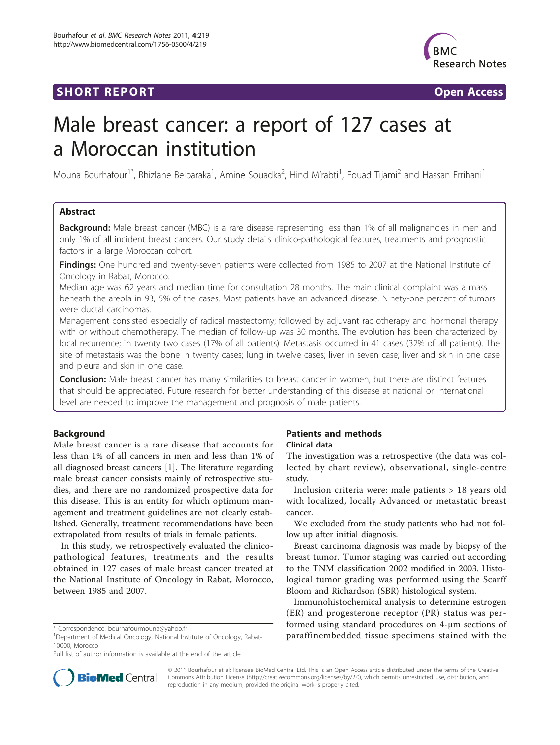# **SHORT REPORT SHORT CONSUMING THE SHORT CONSUMING THE SHORT CONSUMING THE SHORT CONSUMING THE SHORT CONSUMING THE SHORT CONSUMING THE SHORT CONSUMING THE SHORT CONSUMING THE SHORT CONSUMING THE SHORT CONSUMING THE SHORT**



# Male breast cancer: a report of 127 cases at a Moroccan institution

Mouna Bourhafour<sup>1\*</sup>, Rhizlane Belbaraka<sup>1</sup>, Amine Souadka<sup>2</sup>, Hind M'rabti<sup>1</sup>, Fouad Tijami<sup>2</sup> and Hassan Errihani<sup>1</sup>

# Abstract

Background: Male breast cancer (MBC) is a rare disease representing less than 1% of all malignancies in men and only 1% of all incident breast cancers. Our study details clinico-pathological features, treatments and prognostic factors in a large Moroccan cohort.

Findings: One hundred and twenty-seven patients were collected from 1985 to 2007 at the National Institute of Oncology in Rabat, Morocco.

Median age was 62 years and median time for consultation 28 months. The main clinical complaint was a mass beneath the areola in 93, 5% of the cases. Most patients have an advanced disease. Ninety-one percent of tumors were ductal carcinomas.

Management consisted especially of radical mastectomy; followed by adjuvant radiotherapy and hormonal therapy with or without chemotherapy. The median of follow-up was 30 months. The evolution has been characterized by local recurrence; in twenty two cases (17% of all patients). Metastasis occurred in 41 cases (32% of all patients). The site of metastasis was the bone in twenty cases; lung in twelve cases; liver in seven case; liver and skin in one case and pleura and skin in one case.

Conclusion: Male breast cancer has many similarities to breast cancer in women, but there are distinct features that should be appreciated. Future research for better understanding of this disease at national or international level are needed to improve the management and prognosis of male patients.

# Background

Male breast cancer is a rare disease that accounts for less than 1% of all cancers in men and less than 1% of all diagnosed breast cancers [\[1](#page-3-0)]. The literature regarding male breast cancer consists mainly of retrospective studies, and there are no randomized prospective data for this disease. This is an entity for which optimum management and treatment guidelines are not clearly established. Generally, treatment recommendations have been extrapolated from results of trials in female patients.

In this study, we retrospectively evaluated the clinicopathological features, treatments and the results obtained in 127 cases of male breast cancer treated at the National Institute of Oncology in Rabat, Morocco, between 1985 and 2007.

# Patients and methods

# Clinical data

The investigation was a retrospective (the data was collected by chart review), observational, single-centre study.

Inclusion criteria were: male patients > 18 years old with localized, locally Advanced or metastatic breast cancer.

We excluded from the study patients who had not follow up after initial diagnosis.

Breast carcinoma diagnosis was made by biopsy of the breast tumor. Tumor staging was carried out according to the TNM classification 2002 modified in 2003. Histological tumor grading was performed using the Scarff Bloom and Richardson (SBR) histological system.

Immunohistochemical analysis to determine estrogen (ER) and progesterone receptor (PR) status was performed using standard procedures on 4-μm sections of \* Correspondence: [bourhafourmouna@yahoo.fr](mailto:bourhafourmouna@yahoo.fr) **but the state of Oncology, Rabat- but the the the the the the the top araffinembedded tissue specimens stained with the \* Correspondence: bourhafourmouna@yahoo.fr <b>paraffinembe** 



© 2011 Bourhafour et al; licensee BioMed Central Ltd. This is an Open Access article distributed under the terms of the Creative Commons Attribution License [\(http://creativecommons.org/licenses/by/2.0](http://creativecommons.org/licenses/by/2.0)), which permits unrestricted use, distribution, and reproduction in any medium, provided the original work is properly cited.

<sup>&</sup>lt;sup>1</sup>Department of Medical Oncology, National Institute of Oncology, Rabat-10000, Morocco

Full list of author information is available at the end of the article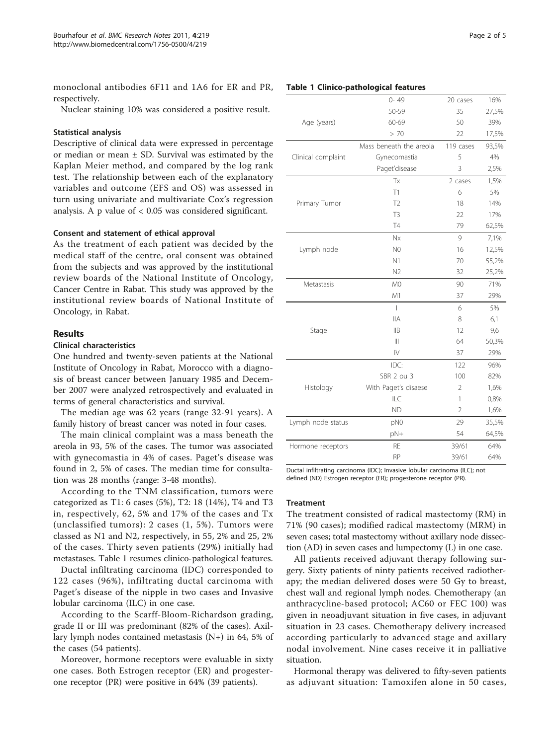monoclonal antibodies 6F11 and 1A6 for ER and PR, respectively.

Nuclear staining 10% was considered a positive result.

## Statistical analysis

Descriptive of clinical data were expressed in percentage or median or mean  $\pm$  SD. Survival was estimated by the Kaplan Meier method, and compared by the log rank test. The relationship between each of the explanatory variables and outcome (EFS and OS) was assessed in turn using univariate and multivariate Cox's regression analysis. A p value of < 0.05 was considered significant.

### Consent and statement of ethical approval

As the treatment of each patient was decided by the medical staff of the centre, oral consent was obtained from the subjects and was approved by the institutional review boards of the National Institute of Oncology, Cancer Centre in Rabat. This study was approved by the institutional review boards of National Institute of Oncology, in Rabat.

# Results

# Clinical characteristics

One hundred and twenty-seven patients at the National Institute of Oncology in Rabat, Morocco with a diagnosis of breast cancer between January 1985 and December 2007 were analyzed retrospectively and evaluated in terms of general characteristics and survival.

The median age was 62 years (range 32-91 years). A family history of breast cancer was noted in four cases.

The main clinical complaint was a mass beneath the areola in 93, 5% of the cases. The tumor was associated with gynecomastia in 4% of cases. Paget's disease was found in 2, 5% of cases. The median time for consultation was 28 months (range: 3-48 months).

According to the TNM classification, tumors were categorized as T1: 6 cases (5%), T2: 18 (14%), T4 and T3 in, respectively, 62, 5% and 17% of the cases and Tx (unclassified tumors): 2 cases (1, 5%). Tumors were classed as N1 and N2, respectively, in 55, 2% and 25, 2% of the cases. Thirty seven patients (29%) initially had metastases. Table 1 resumes clinico-pathological features.

Ductal infiltrating carcinoma (IDC) corresponded to 122 cases (96%), infiltrating ductal carcinoma with Paget's disease of the nipple in two cases and Invasive lobular carcinoma (ILC) in one case.

According to the Scarff-Bloom-Richardson grading, grade II or III was predominant (82% of the cases). Axillary lymph nodes contained metastasis (N+) in 64, 5% of the cases (54 patients).

Moreover, hormone receptors were evaluable in sixty one cases. Both Estrogen receptor (ER) and progesterone receptor (PR) were positive in 64% (39 patients).

|                    | $0 - 49$                 | 20 cases       | 16%   |
|--------------------|--------------------------|----------------|-------|
|                    | 50-59                    | 35             | 27,5% |
| Age (years)        | 60-69                    | 50             | 39%   |
|                    | > 70                     | 22             | 17,5% |
|                    | Mass beneath the areola  | 119 cases      | 93,5% |
| Clinical complaint | Gynecomastia             | 5              | 4%    |
|                    | Paget'disease            | 3              | 2,5%  |
|                    | Tx                       | 2 cases        | 1,5%  |
|                    | T1                       | 6              | 5%    |
| Primary Tumor      | T <sub>2</sub>           | 18             | 14%   |
|                    | T <sub>3</sub>           | 22             | 17%   |
|                    | T <sub>4</sub>           | 79             | 62,5% |
|                    | Nx                       | 9              | 7,1%  |
| Lymph node         | N <sub>0</sub>           | 16             | 12,5% |
|                    | N1                       | 70             | 55,2% |
|                    | N <sub>2</sub>           | 32             | 25,2% |
| Metastasis         | M <sub>0</sub>           | 90             | 71%   |
|                    | M1                       | 37             | 29%   |
|                    | $\overline{\phantom{a}}$ | 6              | 5%    |
|                    | <b>IIA</b>               | 8              | 6,1   |
| Stage              | <b>IIB</b>               | 12             | 9,6   |
|                    | $\parallel$              | 64             | 50,3% |
|                    | $\mathsf{N}\mathsf{I}$   | 37             | 29%   |
|                    | IDC:                     | 122            | 96%   |
|                    | SBR 2 ou 3               | 100            | 82%   |
| Histology          | With Paget's disaese     | $\overline{2}$ | 1,6%  |
|                    | ILC                      | 1              | 0,8%  |
|                    | <b>ND</b>                | $\overline{2}$ | 1,6%  |
| Lymph node status  | pN0                      | 29             | 35,5% |
|                    | pN+                      | 54             | 64,5% |

Ductal infiltrating carcinoma (IDC); Invasive lobular carcinoma (ILC); not defined (ND) Estrogen receptor (ER); progesterone receptor (PR).

Hormone receptors RE 39/61 64%

RP 39/61 64%

#### Treatment

The treatment consisted of radical mastectomy (RM) in 71% (90 cases); modified radical mastectomy (MRM) in seven cases; total mastectomy without axillary node dissection (AD) in seven cases and lumpectomy (L) in one case.

All patients received adjuvant therapy following surgery. Sixty patients of ninty patients received radiotherapy; the median delivered doses were 50 Gy to breast, chest wall and regional lymph nodes. Chemotherapy (an anthracycline-based protocol; AC60 or FEC 100) was given in neoadjuvant situation in five cases, in adjuvant situation in 23 cases. Chemotherapy delivery increased according particularly to advanced stage and axillary nodal involvement. Nine cases receive it in palliative situation.

Hormonal therapy was delivered to fifty-seven patients as adjuvant situation: Tamoxifen alone in 50 cases,

#### Table 1 Clinico-pathological features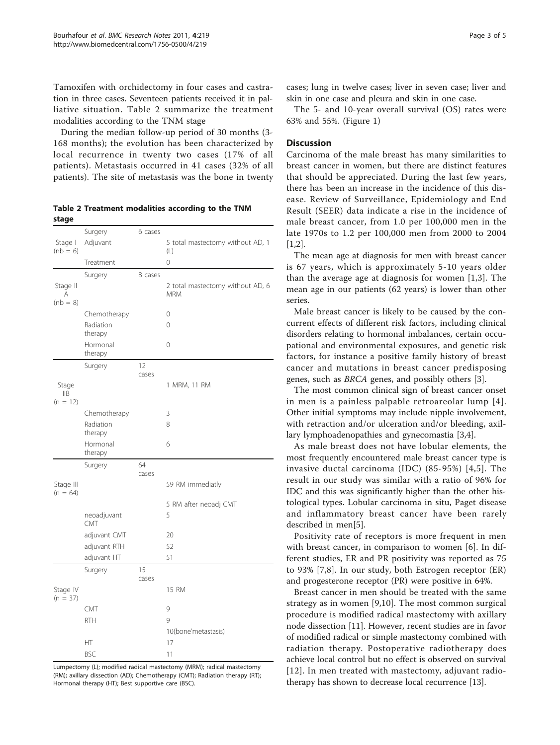Tamoxifen with orchidectomy in four cases and castration in three cases. Seventeen patients received it in palliative situation. Table 2 summarize the treatment modalities according to the TNM stage

During the median follow-up period of 30 months (3- 168 months); the evolution has been characterized by local recurrence in twenty two cases (17% of all patients). Metastasis occurred in 41 cases (32% of all patients). The site of metastasis was the bone in twenty

|       | Table 2 Treatment modalities according to the TNM |  |  |
|-------|---------------------------------------------------|--|--|
| stage |                                                   |  |  |

|                         | Surgery              | 6 cases |                                  |
|-------------------------|----------------------|---------|----------------------------------|
| Stage I                 | Adjuvant             |         | 5 total mastectomy without AD, 1 |
| $(hb = 6)$              |                      |         | $(\mathrel{\sqcup})$             |
|                         | Treatment            |         | $\Omega$                         |
|                         | Surgery              | 8 cases |                                  |
| Stage II                |                      |         | 2 total mastectomy without AD, 6 |
| A                       |                      |         | <b>MRM</b>                       |
| $(hb = 8)$              |                      |         |                                  |
|                         | Chemotherapy         |         | 0                                |
|                         | Radiation<br>therapy |         | $\overline{0}$                   |
|                         | Hormonal             |         | 0                                |
|                         | therapy              |         |                                  |
|                         | Surgery              | 12      |                                  |
|                         |                      | cases   |                                  |
| Stage                   |                      |         | 1 MRM, 11 RM                     |
| IIB<br>$(n = 12)$       |                      |         |                                  |
|                         | Chemotherapy         |         | 3                                |
|                         | Radiation            |         | 8                                |
|                         | therapy              |         |                                  |
|                         | Hormonal             |         | 6                                |
|                         | therapy              |         |                                  |
|                         | Surgery              | 64      |                                  |
|                         |                      | cases   |                                  |
| Stage III<br>$(n = 64)$ |                      |         | 59 RM immediatly                 |
|                         |                      |         | 5 RM after neoadj CMT            |
|                         | neoadjuvant          |         | 5                                |
|                         | CMT                  |         |                                  |
|                         | adjuvant CMT         |         | 20                               |
|                         | adjuvant RTH         |         | 52                               |
|                         | adjuvant HT          |         | 51                               |
|                         | Surgery              | 15      |                                  |
|                         |                      | cases   |                                  |
| Stage IV<br>$(n = 37)$  |                      |         | 15 RM                            |
|                         | CMT                  |         | 9                                |
|                         | <b>RTH</b>           |         | 9                                |
|                         |                      |         | 10(bone'metastasis)              |
|                         | НT                   |         | 17                               |
|                         | <b>BSC</b>           |         | 11                               |
|                         |                      |         |                                  |

Lumpectomy (L); modified radical mastectomy (MRM); radical mastectomy (RM); axillary dissection (AD); Chemotherapy (CMT); Radiation therapy (RT); Hormonal therapy (HT); Best supportive care (BSC).

cases; lung in twelve cases; liver in seven case; liver and skin in one case and pleura and skin in one case.

The 5- and 10-year overall survival (OS) rates were 63% and 55%. (Figure [1\)](#page-3-0)

# **Discussion**

Carcinoma of the male breast has many similarities to breast cancer in women, but there are distinct features that should be appreciated. During the last few years, there has been an increase in the incidence of this disease. Review of Surveillance, Epidemiology and End Result (SEER) data indicate a rise in the incidence of male breast cancer, from 1.0 per 100,000 men in the late 1970s to 1.2 per 100,000 men from 2000 to 2004  $[1,2]$  $[1,2]$ .

The mean age at diagnosis for men with breast cancer is 67 years, which is approximately 5-10 years older than the average age at diagnosis for women [[1,3](#page-3-0)]. The mean age in our patients (62 years) is lower than other series.

Male breast cancer is likely to be caused by the concurrent effects of different risk factors, including clinical disorders relating to hormonal imbalances, certain occupational and environmental exposures, and genetic risk factors, for instance a positive family history of breast cancer and mutations in breast cancer predisposing genes, such as BRCA genes, and possibly others [[3](#page-3-0)].

The most common clinical sign of breast cancer onset in men is a painless palpable retroareolar lump [[4\]](#page-3-0). Other initial symptoms may include nipple involvement, with retraction and/or ulceration and/or bleeding, axillary lymphoadenopathies and gynecomastia [\[3,4\]](#page-3-0).

As male breast does not have lobular elements, the most frequently encountered male breast cancer type is invasive ductal carcinoma (IDC) (85-95%) [[4](#page-3-0),[5\]](#page-3-0). The result in our study was similar with a ratio of 96% for IDC and this was significantly higher than the other histological types. Lobular carcinoma in situ, Paget disease and inflammatory breast cancer have been rarely described in men[[5\]](#page-3-0).

Positivity rate of receptors is more frequent in men with breast cancer, in comparison to women [\[6](#page-3-0)]. In different studies, ER and PR positivity was reported as 75 to 93% [\[7](#page-3-0),[8\]](#page-4-0). In our study, both Estrogen receptor (ER) and progesterone receptor (PR) were positive in 64%.

Breast cancer in men should be treated with the same strategy as in women [[9,10\]](#page-4-0). The most common surgical procedure is modified radical mastectomy with axillary node dissection [[11\]](#page-4-0). However, recent studies are in favor of modified radical or simple mastectomy combined with radiation therapy. Postoperative radiotherapy does achieve local control but no effect is observed on survival [[12](#page-4-0)]. In men treated with mastectomy, adjuvant radiotherapy has shown to decrease local recurrence [\[13](#page-4-0)].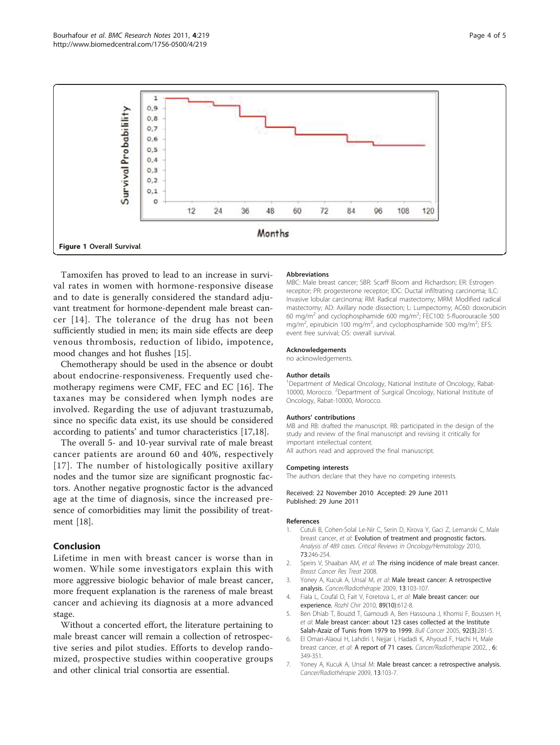<span id="page-3-0"></span>

Tamoxifen has proved to lead to an increase in survival rates in women with hormone-responsive disease and to date is generally considered the standard adjuvant treatment for hormone-dependent male breast cancer [[14\]](#page-4-0). The tolerance of the drug has not been sufficiently studied in men; its main side effects are deep venous thrombosis, reduction of libido, impotence, mood changes and hot flushes [\[15\]](#page-4-0).

Chemotherapy should be used in the absence or doubt about endocrine-responsiveness. Frequently used chemotherapy regimens were CMF, FEC and EC [[16](#page-4-0)]. The taxanes may be considered when lymph nodes are involved. Regarding the use of adjuvant trastuzumab, since no specific data exist, its use should be considered according to patients' and tumor characteristics [\[17,18\]](#page-4-0).

The overall 5- and 10-year survival rate of male breast cancer patients are around 60 and 40%, respectively [[17](#page-4-0)]. The number of histologically positive axillary nodes and the tumor size are significant prognostic factors. Another negative prognostic factor is the advanced age at the time of diagnosis, since the increased presence of comorbidities may limit the possibility of treatment [\[18\]](#page-4-0).

# Conclusion

Lifetime in men with breast cancer is worse than in women. While some investigators explain this with more aggressive biologic behavior of male breast cancer, more frequent explanation is the rareness of male breast cancer and achieving its diagnosis at a more advanced stage.

Without a concerted effort, the literature pertaining to male breast cancer will remain a collection of retrospective series and pilot studies. Efforts to develop randomized, prospective studies within cooperative groups and other clinical trial consortia are essential.

#### **Abbreviations**

MBC: Male breast cancer; SBR: Scarff Bloom and Richardson; ER: Estrogen receptor; PR: progesterone receptor; IDC: Ductal infiltrating carcinoma; ILC: Invasive lobular carcinoma; RM: Radical mastectomy; MRM: Modified radical mastectomy; AD: Axillary node dissection; L: Lumpectomy; AC60: doxorubicin 60 mg/m<sup>2</sup> and cyclophosphamide 600 mg/m<sup>2</sup>; FEC100: 5-fluorouracile 500 mg/ $m^2$ , epirubicin 100 mg/m<sup>2</sup>, and cyclophosphamide 500 mg/m<sup>2</sup>; EFS event free survival; OS: overall survival.

#### Acknowledgements

no acknowledgements.

#### Author details

<sup>1</sup>Department of Medical Oncology, National Institute of Oncology, Rabat-10000, Morocco. <sup>2</sup> Department of Surgical Oncology, National Institute of Oncology, Rabat-10000, Morocco.

#### Authors' contributions

MB and RB: drafted the manuscript. RB: participated in the design of the study and review of the final manuscript and revising it critically for important intellectual content.

All authors read and approved the final manuscript.

#### Competing interests

The authors declare that they have no competing interests.

#### Received: 22 November 2010 Accepted: 29 June 2011 Published: 29 June 2011

#### References

- 1. Cutuli B, Cohen-Solal Le-Nir C, Serin D, Kirova Y, Gaci Z, Lemanski C, Male breast cancer, et al: Evolution of treatment and prognostic factors. Analysis of 489 cases. Critical Reviews in Oncology/Hematology 2010, 73:246-254.
- 2. Speirs V, Shaaban AM, et al: The rising incidence of male breast cancer. Breast Cancer Res Treat 2008.
- 3. Yoney A, Kucuk A, Unsal M, et al: [Male breast cancer: A retrospective](http://www.ncbi.nlm.nih.gov/pubmed/21340766?dopt=Abstract) [analysis.](http://www.ncbi.nlm.nih.gov/pubmed/21340766?dopt=Abstract) Cancer/Radiothérapie 2009, 13:103-107.
- 4. Fiala L, Coufal O, Fait V, Foretova L, et al: [Male breast cancer: our](http://www.ncbi.nlm.nih.gov/pubmed/21374944?dopt=Abstract) [experience.](http://www.ncbi.nlm.nih.gov/pubmed/21374944?dopt=Abstract) Rozhl Chir 2010, 89(10):612-8.
- 5. Ben Dhiab T, Bouzid T, Gamoudi A, Ben Hassouna J, Khomsi F, Boussen H, et al: [Male breast cancer: about 123 cases collected at the Institute](http://www.ncbi.nlm.nih.gov/pubmed/15820923?dopt=Abstract) [Salah-Azaiz of Tunis from 1979 to 1999.](http://www.ncbi.nlm.nih.gov/pubmed/15820923?dopt=Abstract) Bull Cancer 2005, 92(3):281-5.
- 6. El Omari-Alaoui H, Lahdiri I, Nejjar I, Hadadi K, Ahyoud F, Hachi H, Male breast cancer, et al: A report of 71 cases. Cancer/Radiotherapie 2002, , 6: 349-351.
- 7. Yoney A, Kucuk A, Unsal M: [Male breast cancer: a retrospective analysis.](http://www.ncbi.nlm.nih.gov/pubmed/21340766?dopt=Abstract) Cancer/Radiothérapie 2009, 13:103-7.